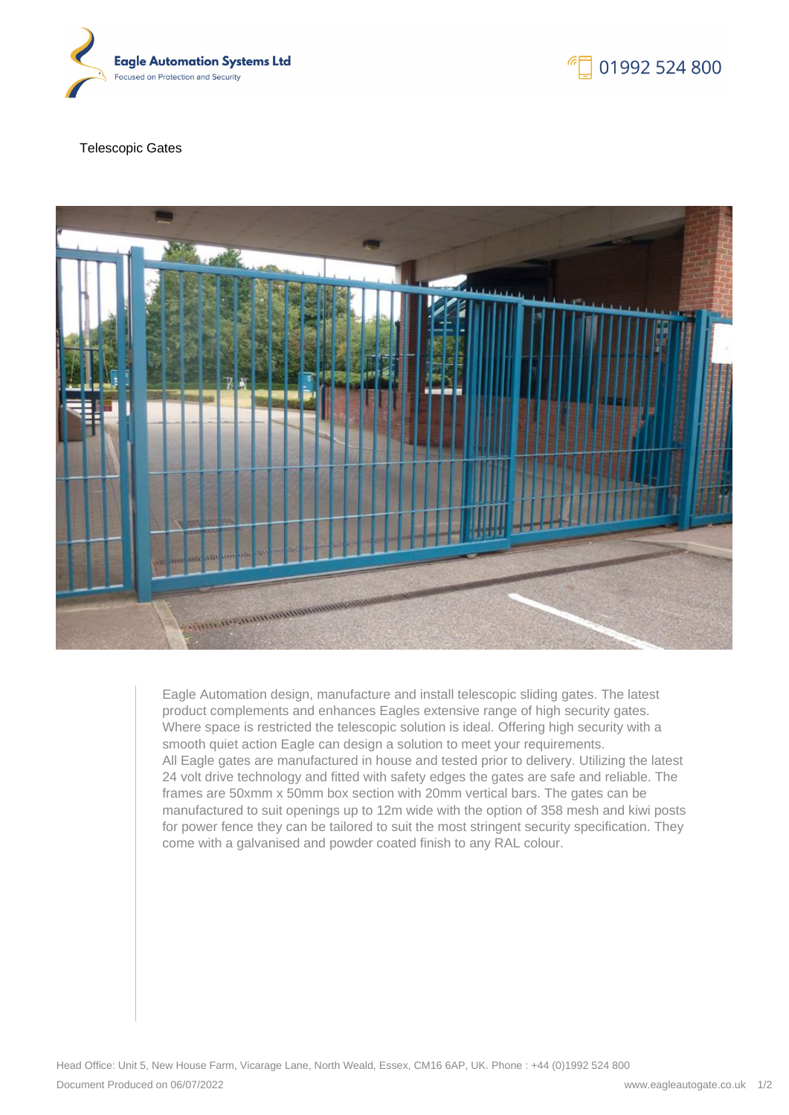

# 01992 524 800

#### Telescopic Gates



Eagle Automation design, manufacture and install telescopic sliding gates. The latest product complements and enhances Eagles extensive range of high security gates. Where space is restricted the telescopic solution is ideal. Offering high security with a smooth quiet action Eagle can design a solution to meet your requirements. All Eagle gates are manufactured in house and tested prior to delivery. Utilizing the latest 24 volt drive technology and fitted with safety edges the gates are safe and reliable. The frames are 50xmm x 50mm box section with 20mm vertical bars. The gates can be manufactured to suit openings up to 12m wide with the option of 358 mesh and kiwi posts for power fence they can be tailored to suit the most stringent security specification. They come with a galvanised and powder coated finish to any RAL colour.